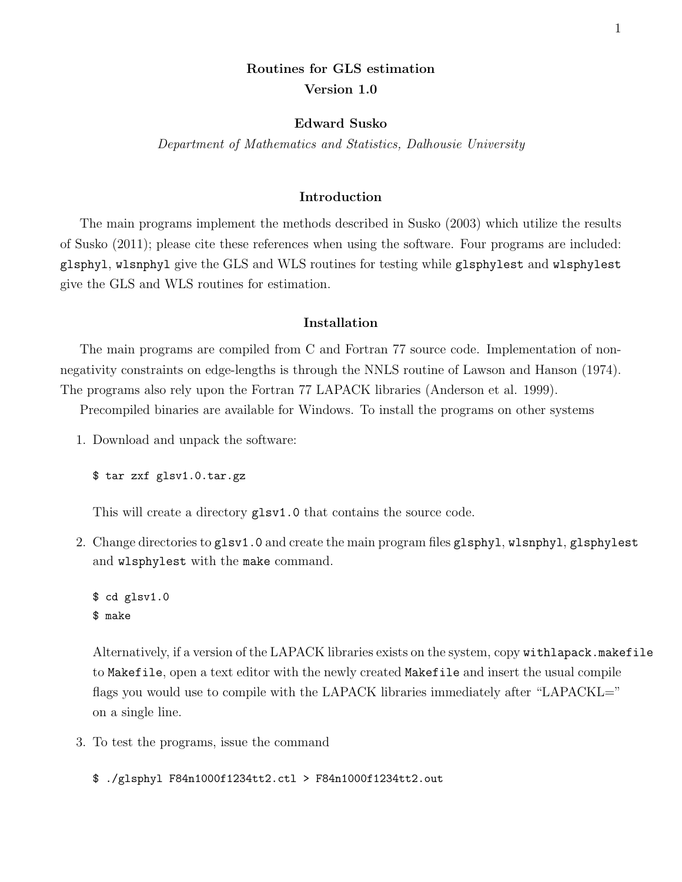# Routines for GLS estimation Version 1.0

# Edward Susko

Department of Mathematics and Statistics, Dalhousie University

## Introduction

The main programs implement the methods described in Susko (2003) which utilize the results of Susko (2011); please cite these references when using the software. Four programs are included: glsphyl, wlsnphyl give the GLS and WLS routines for testing while glsphylest and wlsphylest give the GLS and WLS routines for estimation.

#### Installation

The main programs are compiled from C and Fortran 77 source code. Implementation of nonnegativity constraints on edge-lengths is through the NNLS routine of Lawson and Hanson (1974). The programs also rely upon the Fortran 77 LAPACK libraries (Anderson et al. 1999).

Precompiled binaries are available for Windows. To install the programs on other systems

1. Download and unpack the software:

\$ tar zxf glsv1.0.tar.gz

This will create a directory  $g1sv1.0$  that contains the source code.

2. Change directories to glsv1.0 and create the main program files glsphyl, wlsnphyl, glsphylest and wlsphylest with the make command.

\$ cd glsv1.0 \$ make

Alternatively, if a version of the LAPACK libraries exists on the system, copy withlapack.makefile to Makefile, open a text editor with the newly created Makefile and insert the usual compile flags you would use to compile with the LAPACK libraries immediately after "LAPACKL=" on a single line.

3. To test the programs, issue the command

\$ ./glsphyl F84n1000f1234tt2.ctl > F84n1000f1234tt2.out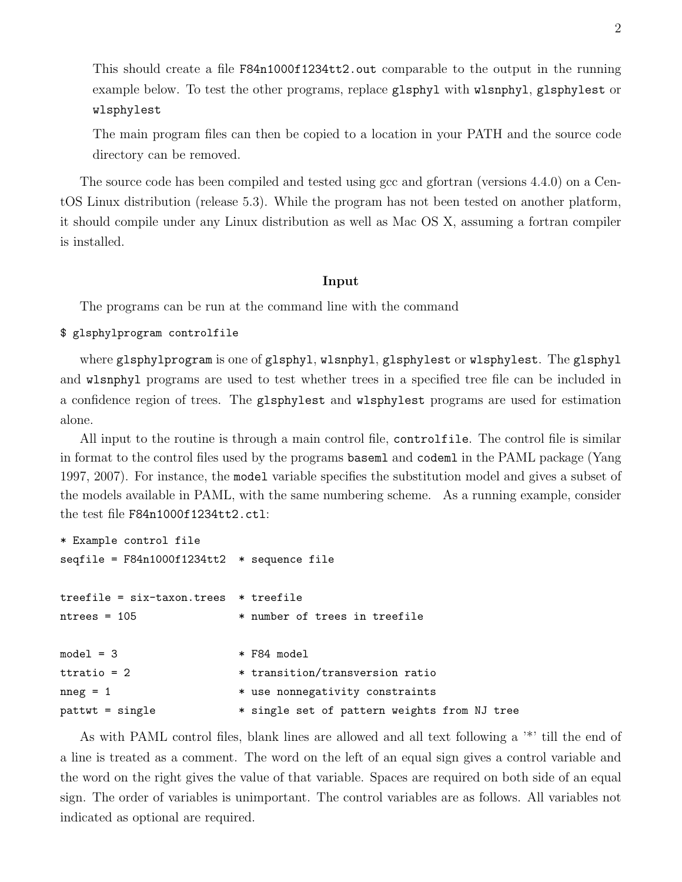This should create a file F84n1000f1234tt2.out comparable to the output in the running example below. To test the other programs, replace glsphyl with wlsnphyl, glsphylest or wlsphylest

The main program files can then be copied to a location in your PATH and the source code directory can be removed.

The source code has been compiled and tested using gcc and gfortran (versions 4.4.0) on a CentOS Linux distribution (release 5.3). While the program has not been tested on another platform, it should compile under any Linux distribution as well as Mac OS X, assuming a fortran compiler is installed.

### Input

The programs can be run at the command line with the command

### \$ glsphylprogram controlfile

where glsphylprogram is one of glsphyl, wlsnphyl, glsphylest or wlsphylest. The glsphyl and wlsnphyl programs are used to test whether trees in a specified tree file can be included in a confidence region of trees. The glsphylest and wlsphylest programs are used for estimation alone.

All input to the routine is through a main control file, controlfile. The control file is similar in format to the control files used by the programs baseml and codeml in the PAML package (Yang 1997, 2007). For instance, the model variable specifies the substitution model and gives a subset of the models available in PAML, with the same numbering scheme. As a running example, consider the test file F84n1000f1234tt2.ctl:

```
* Example control file
seqfile = F84n1000f1234tt2 * sequence file
treefile = six-taxon.trees * treefile
ntrees = 105 * number of trees in treefile
model = 3 * F84 modelttratio = 2 * transition/transversion ratio
n = 1 * use nonnegativity constraints
pattwt = single * single set of pattern weights from NJ tree
```
As with PAML control files, blank lines are allowed and all text following a '\*' till the end of a line is treated as a comment. The word on the left of an equal sign gives a control variable and the word on the right gives the value of that variable. Spaces are required on both side of an equal sign. The order of variables is unimportant. The control variables are as follows. All variables not indicated as optional are required.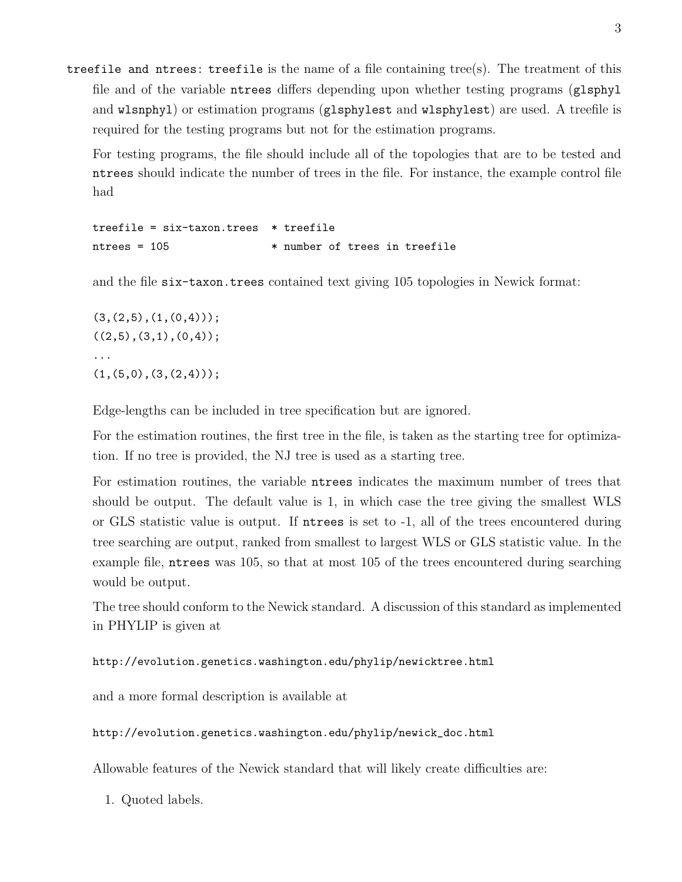treefile and ntrees: treefile is the name of a file containing tree(s). The treatment of this file and of the variable ntrees differs depending upon whether testing programs (glsphyl and wlsnphyl) or estimation programs (glsphylest and wlsphylest) are used. A treefile is required for the testing programs but not for the estimation programs.

For testing programs, the file should include all of the topologies that are to be tested and ntrees should indicate the number of trees in the file. For instance, the example control file had

```
treefile = six-taxon.trees * treefilentrees = 105 * number of trees in treefile
```
and the file six-taxon.trees contained text giving 105 topologies in Newick format:

 $(3,(2,5),(1,(0,4)));$  $((2,5),(3,1),(0,4));$ ...  $(1,(5,0),(3,(2,4)))$ ;

Edge-lengths can be included in tree specification but are ignored.

For the estimation routines, the first tree in the file, is taken as the starting tree for optimization. If no tree is provided, the NJ tree is used as a starting tree.

For estimation routines, the variable ntrees indicates the maximum number of trees that should be output. The default value is 1, in which case the tree giving the smallest WLS or GLS statistic value is output. If ntrees is set to -1, all of the trees encountered during tree searching are output, ranked from smallest to largest WLS or GLS statistic value. In the example file, ntrees was 105, so that at most 105 of the trees encountered during searching would be output.

The tree should conform to the Newick standard. A discussion of this standard as implemented in PHYLIP is given at

```
http://evolution.genetics.washington.edu/phylip/newicktree.html
```
and a more formal description is available at

http://evolution.genetics.washington.edu/phylip/newick\_doc.html

Allowable features of the Newick standard that will likely create difficulties are:

1. Quoted labels.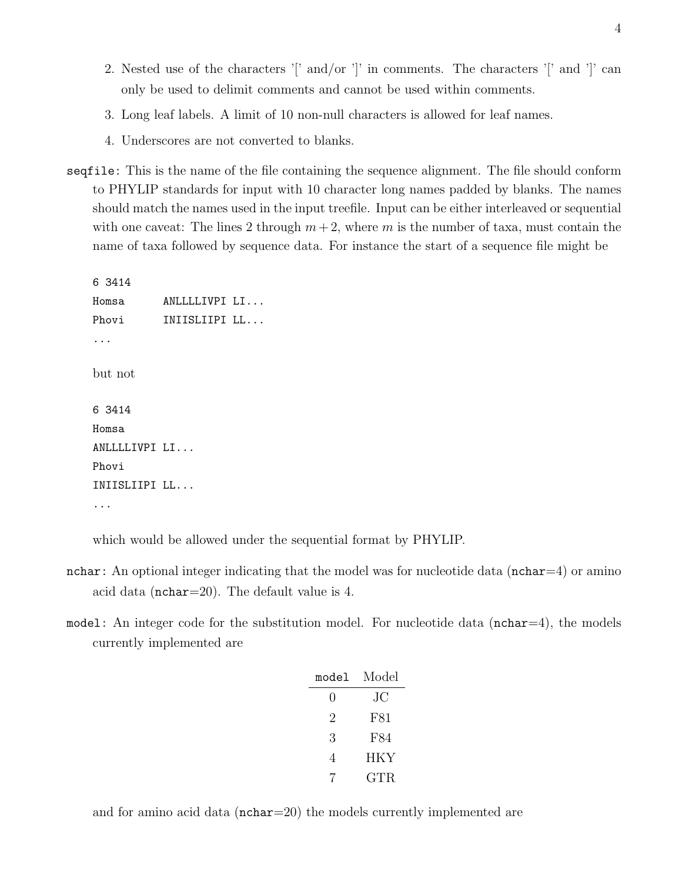- 2. Nested use of the characters '[' and/or ']' in comments. The characters '[' and ']' can only be used to delimit comments and cannot be used within comments.
- 3. Long leaf labels. A limit of 10 non-null characters is allowed for leaf names.
- 4. Underscores are not converted to blanks.
- seqfile: This is the name of the file containing the sequence alignment. The file should conform to PHYLIP standards for input with 10 character long names padded by blanks. The names should match the names used in the input treefile. Input can be either interleaved or sequential with one caveat: The lines 2 through  $m + 2$ , where m is the number of taxa, must contain the name of taxa followed by sequence data. For instance the start of a sequence file might be

6 3414 Homsa ANLLLLIVPI LI... Phovi **INIISLIIPI LL...** ... but not 6 3414 Homsa ANLLLLIVPI LI... Phovi INIISLIIPI LL... ...

which would be allowed under the sequential format by PHYLIP.

- nchar: An optional integer indicating that the model was for nucleotide data ( $nchar=4$ ) or amino acid data (nchar=20). The default value is 4.
- model: An integer code for the substitution model. For nucleotide data ( $nchar=4$ ), the models currently implemented are

| model            | Model        |
|------------------|--------------|
| $\left( \right)$ | JС           |
| 2                | F81          |
| 3                | F84          |
| 4                | HKY          |
|                  | $_{\rm GTR}$ |

and for amino acid data (nchar=20) the models currently implemented are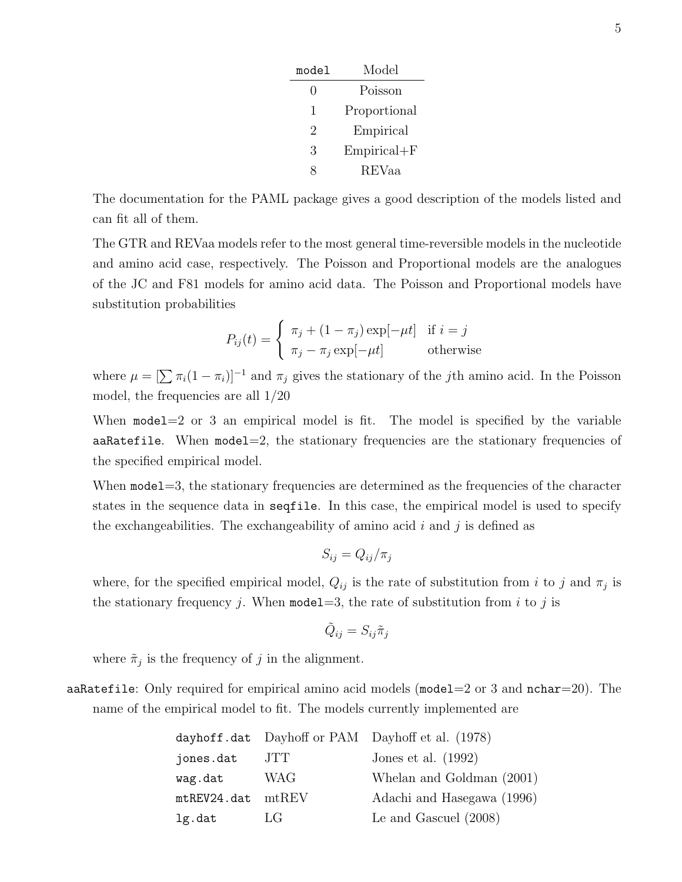| model | Model           |
|-------|-----------------|
| 0     | Poisson         |
| 1     | Proportional    |
| 2     | Empirical       |
| 3     | $Empirical + F$ |
|       | REVaa           |

The documentation for the PAML package gives a good description of the models listed and can fit all of them.

The GTR and REVaa models refer to the most general time-reversible models in the nucleotide and amino acid case, respectively. The Poisson and Proportional models are the analogues of the JC and F81 models for amino acid data. The Poisson and Proportional models have substitution probabilities

$$
P_{ij}(t) = \begin{cases} \pi_j + (1 - \pi_j) \exp[-\mu t] & \text{if } i = j \\ \pi_j - \pi_j \exp[-\mu t] & \text{otherwise} \end{cases}
$$

where  $\mu = \left[\sum \pi_i(1 - \pi_i)\right]^{-1}$  and  $\pi_j$  gives the stationary of the jth amino acid. In the Poisson model, the frequencies are all 1/20

When model  $=2$  or 3 an empirical model is fit. The model is specified by the variable aaRatefile. When model=2, the stationary frequencies are the stationary frequencies of the specified empirical model.

When model = 3, the stationary frequencies are determined as the frequencies of the character states in the sequence data in seqfile. In this case, the empirical model is used to specify the exchangeabilities. The exchangeability of amino acid  $i$  and  $j$  is defined as

$$
S_{ij} = Q_{ij}/\pi_j
$$

where, for the specified empirical model,  $Q_{ij}$  is the rate of substitution from i to j and  $\pi_j$  is the stationary frequency j. When model  $=3$ , the rate of substitution from i to j is

$$
\tilde{Q}_{ij}=S_{ij}\tilde{\pi}_j
$$

where  $\tilde{\pi}_j$  is the frequency of j in the alignment.

aaRatefile: Only required for empirical amino acid models (model=2 or 3 and  $nchar=20$ ). The name of the empirical model to fit. The models currently implemented are

|             |             | dayhoff.dat Dayhoff or PAM Dayhoff et al. (1978) |
|-------------|-------------|--------------------------------------------------|
| jones.dat   | JTT.        | Jones et al. $(1992)$                            |
| wag.dat     | WAG         | Whelan and Goldman (2001)                        |
| mtREV24.dat | $m$ t $REV$ | Adachi and Hasegawa (1996)                       |
| lg.dat      | LG          | Le and Gascuel $(2008)$                          |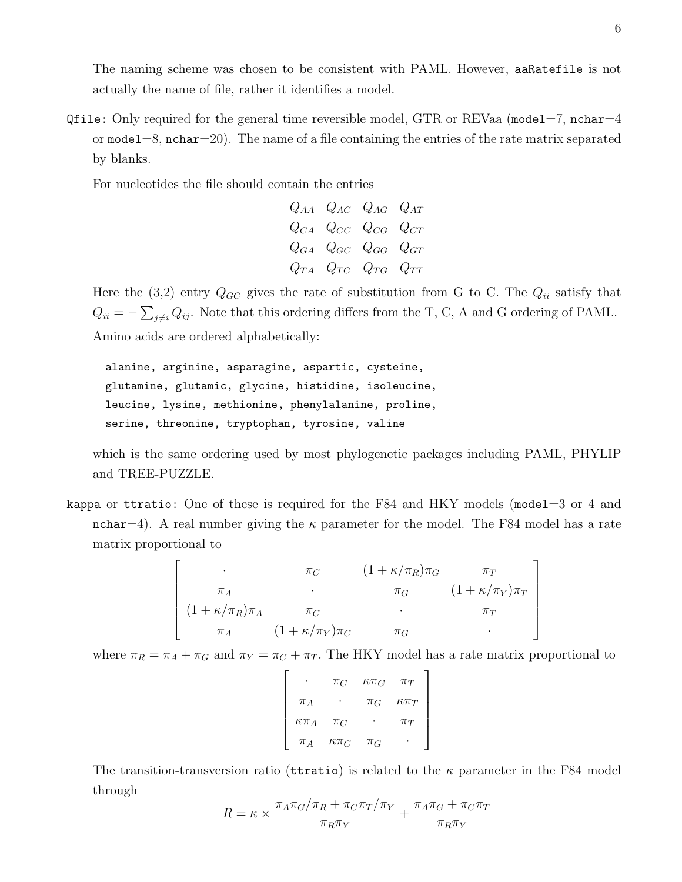$Qfile: Only required for the general time reversible model, GTR or REVaa (model=7, nchar=4)$ or model  $=8$ , nchar $=20$ ). The name of a file containing the entries of the rate matrix separated by blanks.

For nucleotides the file should contain the entries

$$
\begin{array}{ccc}\nQ_{AA} & Q_{AC} & Q_{AG} & Q_{AT} \\
Q_{CA} & Q_{CC} & Q_{CG} & Q_{CT} \\
Q_{GA} & Q_{GC} & Q_{GG} & Q_{GT} \\
Q_{TA} & Q_{TC} & Q_{TG} & Q_{TT}\n\end{array}
$$

Here the  $(3,2)$  entry  $Q_{GC}$  gives the rate of substitution from G to C. The  $Q_{ii}$  satisfy that  $Q_{ii} = -\sum_{j\neq i} Q_{ij}$ . Note that this ordering differs from the T, C, A and G ordering of PAML. Amino acids are ordered alphabetically:

```
alanine, arginine, asparagine, aspartic, cysteine,
glutamine, glutamic, glycine, histidine, isoleucine,
leucine, lysine, methionine, phenylalanine, proline,
serine, threonine, tryptophan, tyrosine, valine
```
which is the same ordering used by most phylogenetic packages including PAML, PHYLIP and TREE-PUZZLE.

kappa or ttratio: One of these is required for the F84 and HKY models (model=3 or 4 and nchar=4). A real number giving the  $\kappa$  parameter for the model. The F84 model has a rate matrix proportional to

$$
\begin{bmatrix}\n\cdot & \pi_C & (1 + \kappa/\pi_R)\pi_G & \pi_T \\
\pi_A & \cdot & \pi_G & (1 + \kappa/\pi_Y)\pi_T \\
(1 + \kappa/\pi_R)\pi_A & \pi_C & \cdot & \pi_T \\
\pi_A & (1 + \kappa/\pi_Y)\pi_C & \pi_G & \cdot\n\end{bmatrix}
$$

where  $\pi_R = \pi_A + \pi_G$  and  $\pi_Y = \pi_C + \pi_T$ . The HKY model has a rate matrix proportional to

$$
\begin{bmatrix}\n\cdot & \pi_C & \kappa \pi_G & \pi_T \\
\pi_A & \cdot & \pi_G & \kappa \pi_T \\
\kappa \pi_A & \pi_C & \cdot & \pi_T \\
\pi_A & \kappa \pi_C & \pi_G & \cdot\n\end{bmatrix}
$$

The transition-transversion ratio (territories) is related to the  $\kappa$  parameter in the F84 model through

$$
R = \kappa \times \frac{\pi_A \pi_G / \pi_R + \pi_C \pi_T / \pi_Y}{\pi_R \pi_Y} + \frac{\pi_A \pi_G + \pi_C \pi_T}{\pi_R \pi_Y}
$$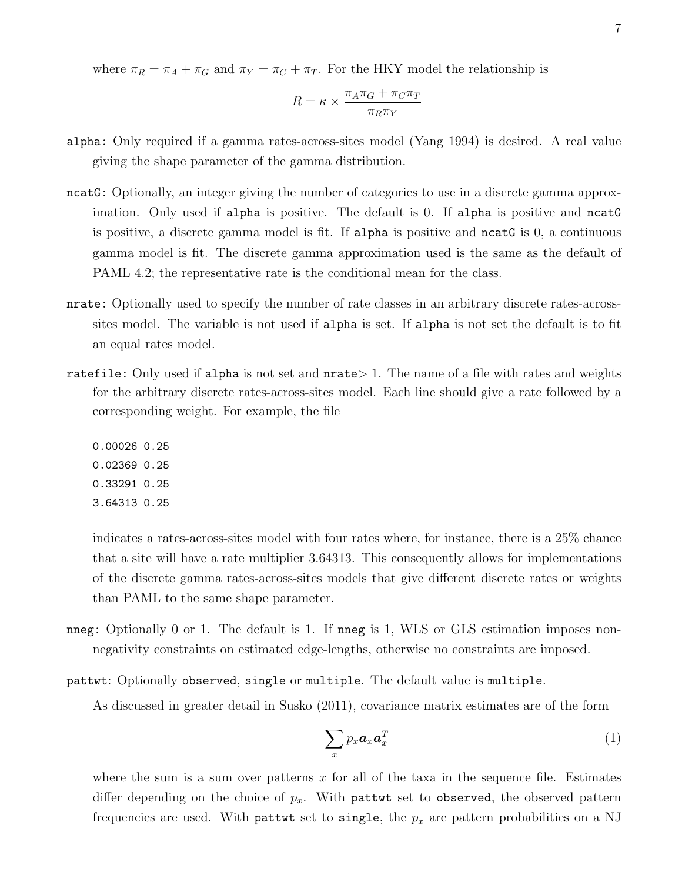where  $\pi_R = \pi_A + \pi_G$  and  $\pi_Y = \pi_C + \pi_T$ . For the HKY model the relationship is

$$
R = \kappa \times \frac{\pi_A \pi_G + \pi_C \pi_T}{\pi_R \pi_Y}
$$

- alpha: Only required if a gamma rates-across-sites model (Yang 1994) is desired. A real value giving the shape parameter of the gamma distribution.
- ncatG: Optionally, an integer giving the number of categories to use in a discrete gamma approximation. Only used if alpha is positive. The default is 0. If alpha is positive and ncatG is positive, a discrete gamma model is fit. If alpha is positive and ncatG is 0, a continuous gamma model is fit. The discrete gamma approximation used is the same as the default of PAML 4.2; the representative rate is the conditional mean for the class.
- nrate: Optionally used to specify the number of rate classes in an arbitrary discrete rates-acrosssites model. The variable is not used if alpha is set. If alpha is not set the default is to fit an equal rates model.
- ratefile: Only used if alpha is not set and  $nrate > 1$ . The name of a file with rates and weights for the arbitrary discrete rates-across-sites model. Each line should give a rate followed by a corresponding weight. For example, the file
	- 0.00026 0.25 0.02369 0.25 0.33291 0.25 3.64313 0.25

indicates a rates-across-sites model with four rates where, for instance, there is a 25% chance that a site will have a rate multiplier 3.64313. This consequently allows for implementations of the discrete gamma rates-across-sites models that give different discrete rates or weights than PAML to the same shape parameter.

- nneg: Optionally 0 or 1. The default is 1. If nneg is 1, WLS or GLS estimation imposes nonnegativity constraints on estimated edge-lengths, otherwise no constraints are imposed.
- pattwt: Optionally observed, single or multiple. The default value is multiple.

As discussed in greater detail in Susko (2011), covariance matrix estimates are of the form

$$
\sum_{x} p_x \boldsymbol{a}_x \boldsymbol{a}_x^T \tag{1}
$$

where the sum is a sum over patterns x for all of the taxa in the sequence file. Estimates differ depending on the choice of  $p_x$ . With pattwt set to observed, the observed pattern frequencies are used. With pattwt set to single, the  $p_x$  are pattern probabilities on a NJ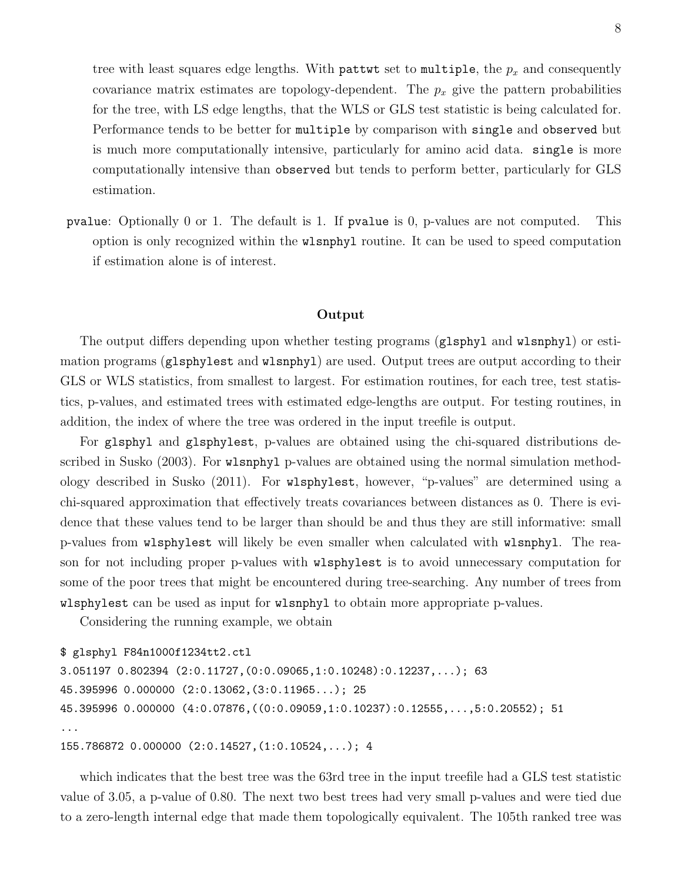tree with least squares edge lengths. With pattwt set to multiple, the  $p_x$  and consequently covariance matrix estimates are topology-dependent. The  $p_x$  give the pattern probabilities for the tree, with LS edge lengths, that the WLS or GLS test statistic is being calculated for. Performance tends to be better for multiple by comparison with single and observed but is much more computationally intensive, particularly for amino acid data. single is more computationally intensive than observed but tends to perform better, particularly for GLS estimation.

pvalue: Optionally 0 or 1. The default is 1. If pvalue is 0, p-values are not computed. This option is only recognized within the wlsnphyl routine. It can be used to speed computation if estimation alone is of interest.

#### Output

The output differs depending upon whether testing programs (glsphyl and wlsnphyl) or estimation programs (glsphylest and wlsnphyl) are used. Output trees are output according to their GLS or WLS statistics, from smallest to largest. For estimation routines, for each tree, test statistics, p-values, and estimated trees with estimated edge-lengths are output. For testing routines, in addition, the index of where the tree was ordered in the input treefile is output.

For glsphyl and glsphylest, p-values are obtained using the chi-squared distributions described in Susko (2003). For wlsnphyl p-values are obtained using the normal simulation methodology described in Susko (2011). For wlsphylest, however, "p-values" are determined using a chi-squared approximation that effectively treats covariances between distances as 0. There is evidence that these values tend to be larger than should be and thus they are still informative: small p-values from wlsphylest will likely be even smaller when calculated with wlsnphyl. The reason for not including proper p-values with wlsphylest is to avoid unnecessary computation for some of the poor trees that might be encountered during tree-searching. Any number of trees from wlsphylest can be used as input for wlsnphyl to obtain more appropriate p-values.

Considering the running example, we obtain

```
$ glsphyl F84n1000f1234tt2.ctl
3.051197 0.802394 (2:0.11727,(0:0.09065,1:0.10248):0.12237,...); 63
45.395996 0.000000 (2:0.13062,(3:0.11965...); 25
45.395996 0.000000 (4:0.07876,((0:0.09059,1:0.10237):0.12555,...,5:0.20552); 51
...
155.786872 0.000000 (2:0.14527,(1:0.10524,...); 4
```
which indicates that the best tree was the 63rd tree in the input treefile had a GLS test statistic value of 3.05, a p-value of 0.80. The next two best trees had very small p-values and were tied due to a zero-length internal edge that made them topologically equivalent. The 105th ranked tree was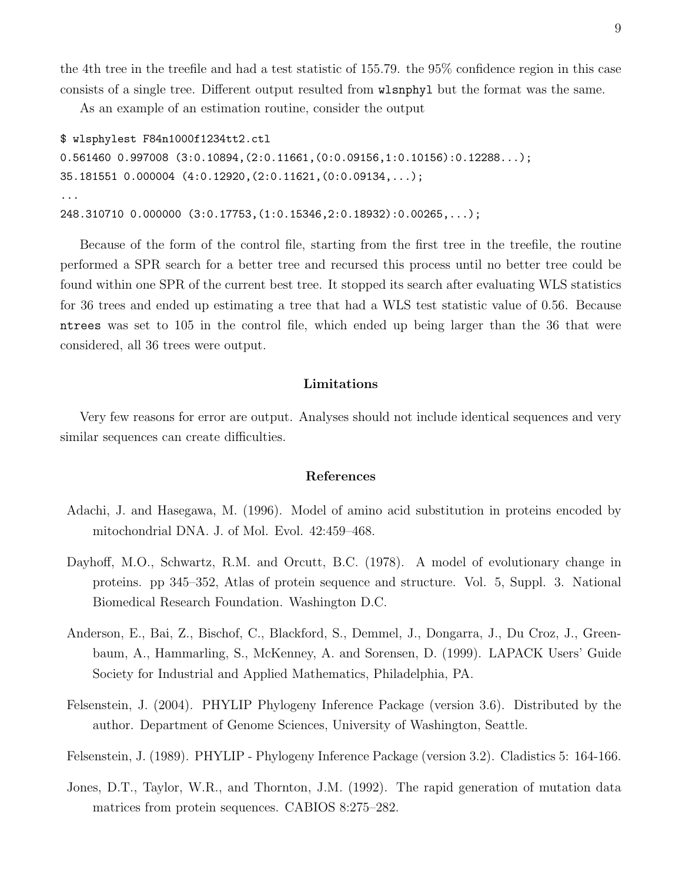the 4th tree in the treefile and had a test statistic of 155.79. the 95% confidence region in this case consists of a single tree. Different output resulted from wlsnphyl but the format was the same.

As an example of an estimation routine, consider the output

```
$ wlsphylest F84n1000f1234tt2.ctl
0.561460 0.997008 (3:0.10894,(2:0.11661,(0:0.09156,1:0.10156):0.12288...);
35.181551 0.000004 (4:0.12920,(2:0.11621,(0:0.09134,...);
...
248.310710 0.000000 (3:0.17753,(1:0.15346,2:0.18932):0.00265,...);
```
Because of the form of the control file, starting from the first tree in the treefile, the routine performed a SPR search for a better tree and recursed this process until no better tree could be found within one SPR of the current best tree. It stopped its search after evaluating WLS statistics for 36 trees and ended up estimating a tree that had a WLS test statistic value of 0.56. Because ntrees was set to 105 in the control file, which ended up being larger than the 36 that were considered, all 36 trees were output.

### Limitations

Very few reasons for error are output. Analyses should not include identical sequences and very similar sequences can create difficulties.

#### References

- Adachi, J. and Hasegawa, M. (1996). Model of amino acid substitution in proteins encoded by mitochondrial DNA. J. of Mol. Evol. 42:459–468.
- Dayhoff, M.O., Schwartz, R.M. and Orcutt, B.C. (1978). A model of evolutionary change in proteins. pp 345–352, Atlas of protein sequence and structure. Vol. 5, Suppl. 3. National Biomedical Research Foundation. Washington D.C.
- Anderson, E., Bai, Z., Bischof, C., Blackford, S., Demmel, J., Dongarra, J., Du Croz, J., Greenbaum, A., Hammarling, S., McKenney, A. and Sorensen, D. (1999). LAPACK Users' Guide Society for Industrial and Applied Mathematics, Philadelphia, PA.
- Felsenstein, J. (2004). PHYLIP Phylogeny Inference Package (version 3.6). Distributed by the author. Department of Genome Sciences, University of Washington, Seattle.

Felsenstein, J. (1989). PHYLIP - Phylogeny Inference Package (version 3.2). Cladistics 5: 164-166.

Jones, D.T., Taylor, W.R., and Thornton, J.M. (1992). The rapid generation of mutation data matrices from protein sequences. CABIOS 8:275–282.